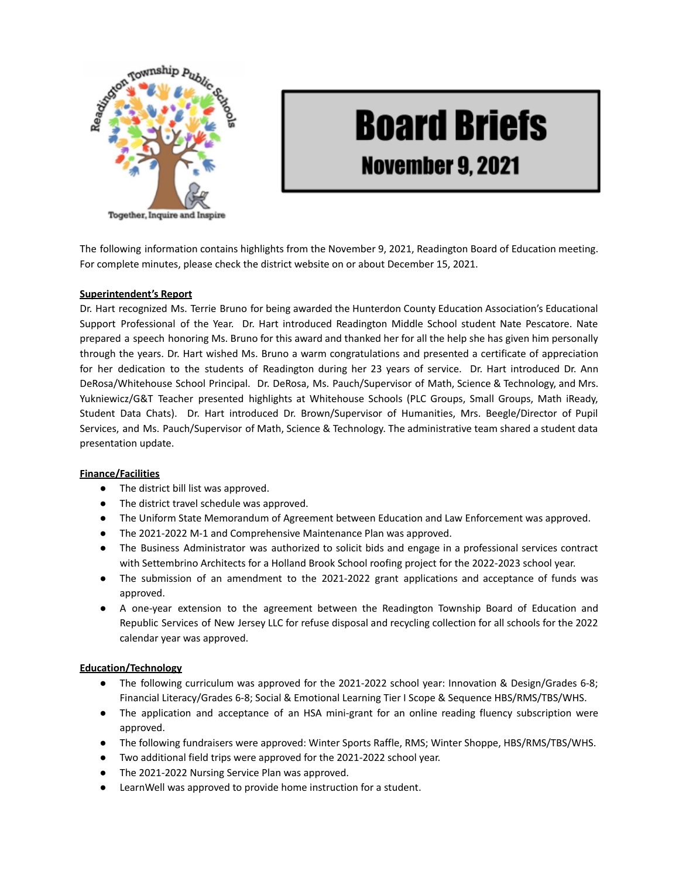

# **Board Briefs November 9, 2021**

The following information contains highlights from the November 9, 2021, Readington Board of Education meeting. For complete minutes, please check the district website on or about December 15, 2021.

## **Superintendent's Report**

Dr. Hart recognized Ms. Terrie Bruno for being awarded the Hunterdon County Education Association's Educational Support Professional of the Year. Dr. Hart introduced Readington Middle School student Nate Pescatore. Nate prepared a speech honoring Ms. Bruno for this award and thanked her for all the help she has given him personally through the years. Dr. Hart wished Ms. Bruno a warm congratulations and presented a certificate of appreciation for her dedication to the students of Readington during her 23 years of service. Dr. Hart introduced Dr. Ann DeRosa/Whitehouse School Principal. Dr. DeRosa, Ms. Pauch/Supervisor of Math, Science & Technology, and Mrs. Yukniewicz/G&T Teacher presented highlights at Whitehouse Schools (PLC Groups, Small Groups, Math iReady, Student Data Chats). Dr. Hart introduced Dr. Brown/Supervisor of Humanities, Mrs. Beegle/Director of Pupil Services, and Ms. Pauch/Supervisor of Math, Science & Technology. The administrative team shared a student data presentation update.

#### **Finance/Facilities**

- The district bill list was approved.
- The district travel schedule was approved.
- The Uniform State Memorandum of Agreement between Education and Law Enforcement was approved.
- The 2021-2022 M-1 and Comprehensive Maintenance Plan was approved.
- The Business Administrator was authorized to solicit bids and engage in a professional services contract with Settembrino Architects for a Holland Brook School roofing project for the 2022-2023 school year.
- The submission of an amendment to the 2021-2022 grant applications and acceptance of funds was approved.
- A one-year extension to the agreement between the Readington Township Board of Education and Republic Services of New Jersey LLC for refuse disposal and recycling collection for all schools for the 2022 calendar year was approved.

#### **Education/Technology**

- The following curriculum was approved for the 2021-2022 school year: Innovation & Design/Grades 6-8; Financial Literacy/Grades 6-8; Social & Emotional Learning Tier I Scope & Sequence HBS/RMS/TBS/WHS.
- The application and acceptance of an HSA mini-grant for an online reading fluency subscription were approved.
- The following fundraisers were approved: Winter Sports Raffle, RMS; Winter Shoppe, HBS/RMS/TBS/WHS.
- Two additional field trips were approved for the 2021-2022 school year.
- The 2021-2022 Nursing Service Plan was approved.
- LearnWell was approved to provide home instruction for a student.